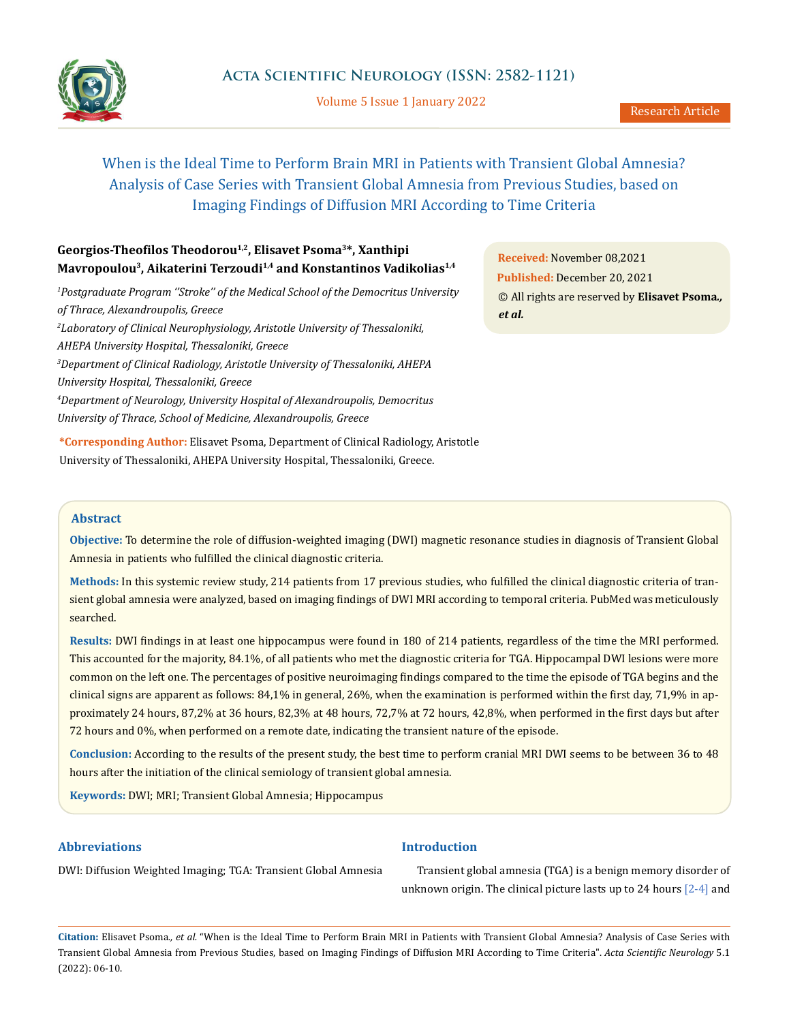

Volume 5 Issue 1 January 2022

# When is the Ideal Time to Perform Brain MRI in Patients with Transient Global Amnesia? Analysis of Case Series with Transient Global Amnesia from Previous Studies, based on Imaging Findings of Diffusion MRI According to Time Criteria

# **Georgios-Theofilos Theodorou1,2, Elisavet Psoma<sup>3</sup>\*, Xanthipi Mavropoulou<sup>3</sup>, Aikaterini Terzoudi1,4 and Konstantinos Vadikolias1,4**

*1 Postgraduate Program ''Stroke'' of the Medical School of the Democritus University of Thrace, Alexandroupolis, Greece 2 Laboratory of Clinical Neurophysiology, Aristotle University of Thessaloniki, AHEPA University Hospital, Thessaloniki, Greece 3 Department of Clinical Radiology, Aristotle University of Thessaloniki, AHEPA University Hospital, Thessaloniki, Greece 4 Department of Neurology, University Hospital of Alexandroupolis, Democritus University of Thrace, School of Medicine, Alexandroupolis, Greece*

**\*Corresponding Author:** Elisavet Psoma, Department of Clinical Radiology, Aristotle University of Thessaloniki, AHEPA University Hospital, Thessaloniki, Greece.

**Received:** November 08,2021 **Published:** December 20, 2021 © All rights are reserved by **Elisavet Psoma***., et al.*

## **Abstract**

**Objective:** To determine the role of diffusion-weighted imaging (DWI) magnetic resonance studies in diagnosis of Transient Global Amnesia in patients who fulfilled the clinical diagnostic criteria.

**Methods:** In this systemic review study, 214 patients from 17 previous studies, who fulfilled the clinical diagnostic criteria of transient global amnesia were analyzed, based on imaging findings of DWI MRI according to temporal criteria. PubMed was meticulously searched.

**Results:** DWI findings in at least one hippocampus were found in 180 of 214 patients, regardless of the time the MRI performed. This accounted for the majority, 84.1%, of all patients who met the diagnostic criteria for TGA. Hippocampal DWI lesions were more common on the left one. The percentages of positive neuroimaging findings compared to the time the episode of TGA begins and the clinical signs are apparent as follows: 84,1% in general, 26%, when the examination is performed within the first day, 71,9% in approximately 24 hours, 87,2% at 36 hours, 82,3% at 48 hours, 72,7% at 72 hours, 42,8%, when performed in the first days but after 72 hours and 0%, when performed on a remote date, indicating the transient nature of the episode.

**Conclusion:** According to the results of the present study, the best time to perform cranial MRI DWI seems to be between 36 to 48 hours after the initiation of the clinical semiology of transient global amnesia.

**Keywords:** DWI; MRI; Transient Global Amnesia; Hippocampus

# **Abbreviations**

# **Introduction**

DWI: Diffusion Weighted Imaging; TGA: Transient Global Amnesia

Transient global amnesia (TGA) is a benign memory disorder of unknown origin. The clinical picture lasts up to 24 hours  $[2-4]$  and

**Citation:** Elisavet Psoma*., et al.* "When is the Ideal Time to Perform Brain MRI in Patients with Transient Global Amnesia? Analysis of Case Series with Transient Global Amnesia from Previous Studies, based on Imaging Findings of Diffusion MRI According to Time Criteria". *Acta Scientific Neurology* 5.1 (2022): 06-10.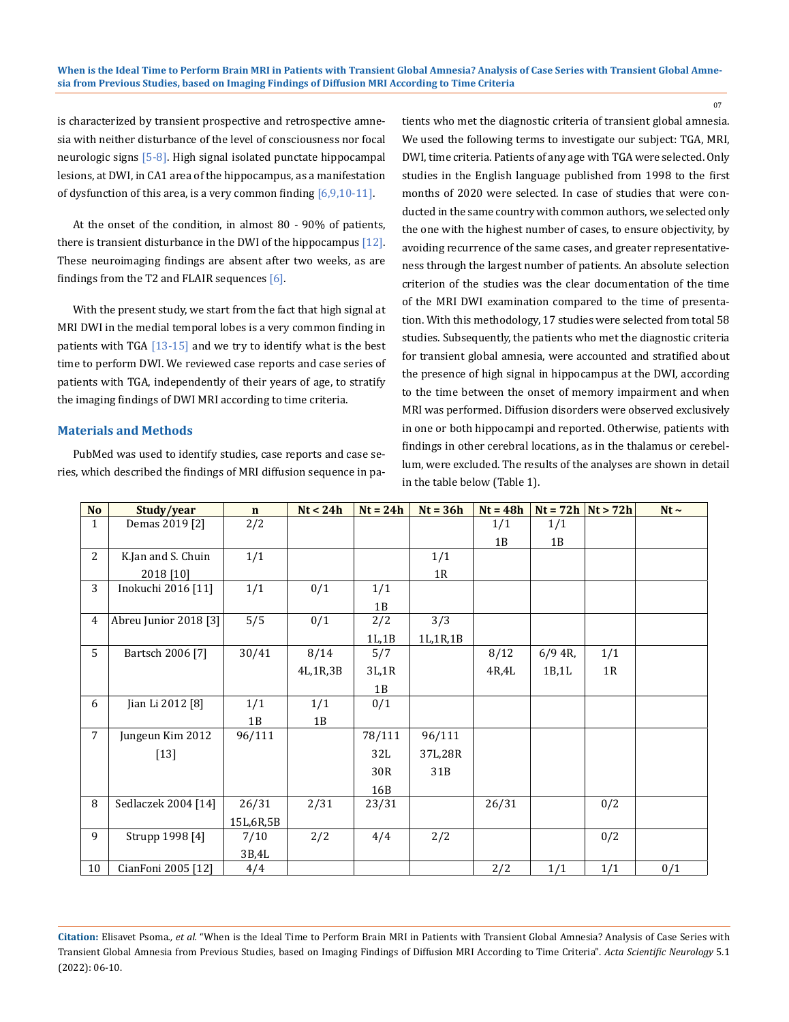is characterized by transient prospective and retrospective amnesia with neither disturbance of the level of consciousness nor focal neurologic signs [5-8]. High signal isolated punctate hippocampal lesions, at DWI, in CA1 area of the hippocampus, as a manifestation of dysfunction of this area, is a very common finding  $[6,9,10-11]$ .

At the onset of the condition, in almost 80 - 90% of patients, there is transient disturbance in the DWI of the hippocampus  $[12]$ . These neuroimaging findings are absent after two weeks, as are findings from the T2 and FLAIR sequences  $[6]$ .

With the present study, we start from the fact that high signal at MRI DWI in the medial temporal lobes is a very common finding in patients with TGA  $[13-15]$  and we try to identify what is the best time to perform DWI. We reviewed case reports and case series of patients with TGA, independently of their years of age, to stratify the imaging findings of DWI MRI according to time criteria.

#### **Materials and Methods**

PubMed was used to identify studies, case reports and case series, which described the findings of MRI diffusion sequence in patients who met the diagnostic criteria of transient global amnesia. We used the following terms to investigate our subject: TGA, MRI, DWI, time criteria. Patients of any age with TGA were selected. Only studies in the English language published from 1998 to the first months of 2020 were selected. In case of studies that were conducted in the same country with common authors, we selected only the one with the highest number of cases, to ensure objectivity, by avoiding recurrence of the same cases, and greater representativeness through the largest number of patients. An absolute selection criterion of the studies was the clear documentation of the time of the MRI DWI examination compared to the time of presentation. With this methodology, 17 studies were selected from total 58 studies. Subsequently, the patients who met the diagnostic criteria for transient global amnesia, were accounted and stratified about the presence of high signal in hippocampus at the DWI, according to the time between the onset of memory impairment and when MRI was performed. Diffusion disorders were observed exclusively in one or both hippocampi and reported. Otherwise, patients with findings in other cerebral locations, as in the thalamus or cerebellum, were excluded. The results of the analyses are shown in detail in the table below (Table 1).

| <b>No</b>       | Study/year            | $\mathbf n$ | Nt < 24h | $Nt = 24h$ | $Nt = 36h$ | $Nt = 48h$ | $Nt = 72h$ | Nt > 72h | $Nt \sim$ |
|-----------------|-----------------------|-------------|----------|------------|------------|------------|------------|----------|-----------|
| $\mathbf{1}$    | Demas 2019 [2]        | 2/2         |          |            |            | 1/1        | 1/1        |          |           |
|                 |                       |             |          |            |            | 1B         | 1B         |          |           |
| 2               | K.Jan and S. Chuin    | 1/1         |          |            | 1/1        |            |            |          |           |
|                 | 2018 [10]             |             |          |            | 1R         |            |            |          |           |
| 3               | Inokuchi 2016 [11]    | 1/1         | 0/1      | 1/1        |            |            |            |          |           |
|                 |                       |             |          | 1B         |            |            |            |          |           |
| 4               | Abreu Junior 2018 [3] | 5/5         | 0/1      | 2/2        | 3/3        |            |            |          |           |
|                 |                       |             |          | 1L, 1B     | 1L,1R,1B   |            |            |          |           |
| 5               | Bartsch 2006 [7]      | 30/41       | 8/14     | 5/7        |            | 8/12       | $6/9$ 4R,  | 1/1      |           |
|                 |                       |             | 4L,1R,3B | 3L,1R      |            | 4R,4L      | 1B,1L      | 1R       |           |
|                 |                       |             |          | 1B         |            |            |            |          |           |
| 6               | Jian Li 2012 [8]      | 1/1         | 1/1      | 0/1        |            |            |            |          |           |
|                 |                       | 1B          | 1B       |            |            |            |            |          |           |
| $7\overline{ }$ | Jungeun Kim 2012      | 96/111      |          | 78/111     | 96/111     |            |            |          |           |
|                 | $[13]$                |             |          | 32L        | 37L,28R    |            |            |          |           |
|                 |                       |             |          | 30R        | 31B        |            |            |          |           |
|                 |                       |             |          | 16B        |            |            |            |          |           |
| 8               | Sedlaczek 2004 [14]   | 26/31       | 2/31     | 23/31      |            | 26/31      |            | 0/2      |           |
|                 |                       | 15L,6R,5B   |          |            |            |            |            |          |           |
| 9               | Strupp 1998 [4]       | 7/10        | 2/2      | 4/4        | 2/2        |            |            | 0/2      |           |
|                 |                       | 3B,4L       |          |            |            |            |            |          |           |
| 10              | CianFoni 2005 [12]    | 4/4         |          |            |            | 2/2        | 1/1        | 1/1      | 0/1       |

### **Citation:** Elisavet Psoma*., et al.* "When is the Ideal Time to Perform Brain MRI in Patients with Transient Global Amnesia? Analysis of Case Series with Transient Global Amnesia from Previous Studies, based on Imaging Findings of Diffusion MRI According to Time Criteria". *Acta Scientific Neurology* 5.1 (2022): 06-10.

07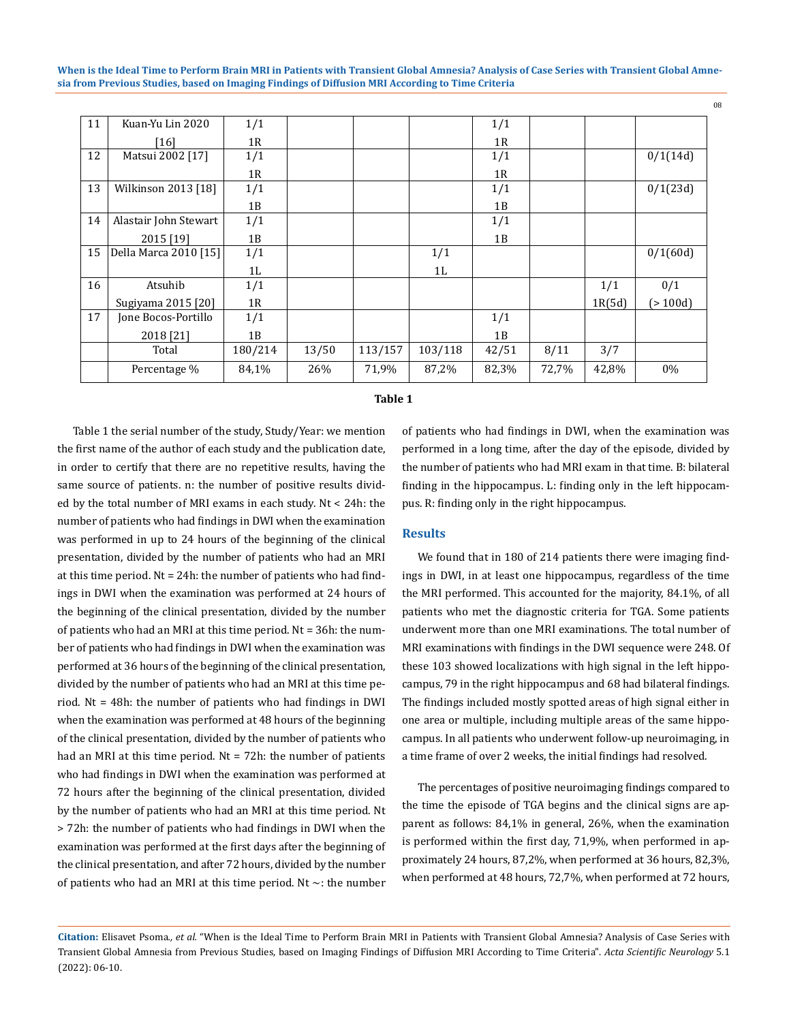**When is the Ideal Time to Perform Brain MRI in Patients with Transient Global Amnesia? Analysis of Case Series with Transient Global Amnesia from Previous Studies, based on Imaging Findings of Diffusion MRI According to Time Criteria**

| 11 | Kuan-Yu Lin 2020      | 1/1     |       |         |                | 1/1   |       |        |          |
|----|-----------------------|---------|-------|---------|----------------|-------|-------|--------|----------|
|    | $[16]$                | 1R      |       |         |                | 1R    |       |        |          |
| 12 | Matsui 2002 [17]      | 1/1     |       |         |                | 1/1   |       |        | 0/1(14d) |
|    |                       | 1R      |       |         |                | 1R    |       |        |          |
| 13 | Wilkinson 2013 [18]   | 1/1     |       |         |                | 1/1   |       |        | 0/1(23d) |
|    |                       | 1B      |       |         |                | 1B    |       |        |          |
| 14 | Alastair John Stewart | 1/1     |       |         |                | 1/1   |       |        |          |
|    | 2015 [19]             | 1B      |       |         |                | 1B    |       |        |          |
| 15 | Della Marca 2010 [15] | 1/1     |       |         | 1/1            |       |       |        | 0/1(60d) |
|    |                       | 1L      |       |         | 1 <sub>L</sub> |       |       |        |          |
| 16 | Atsuhib               | 1/1     |       |         |                |       |       | 1/1    | 0/1      |
|    | Sugiyama 2015 [20]    | 1R      |       |         |                |       |       | 1R(5d) | (>100d)  |
| 17 | Jone Bocos-Portillo   | 1/1     |       |         |                | 1/1   |       |        |          |
|    | 2018 [21]             | 1B      |       |         |                | 1B    |       |        |          |
|    | Total                 | 180/214 | 13/50 | 113/157 | 103/118        | 42/51 | 8/11  | 3/7    |          |
|    | Percentage %          | 84,1%   | 26%   | 71,9%   | 87,2%          | 82,3% | 72,7% | 42,8%  | $0\%$    |

#### **Table 1**

Table 1 the serial number of the study, Study/Year: we mention the first name of the author of each study and the publication date, in order to certify that there are no repetitive results, having the same source of patients. n: the number of positive results divided by the total number of MRI exams in each study. Nt < 24h: the number of patients who had findings in DWI when the examination was performed in up to 24 hours of the beginning of the clinical presentation, divided by the number of patients who had an MRI at this time period. Nt = 24h: the number of patients who had findings in DWI when the examination was performed at 24 hours of the beginning of the clinical presentation, divided by the number of patients who had an MRI at this time period. Nt = 36h: the number of patients who had findings in DWI when the examination was performed at 36 hours of the beginning of the clinical presentation, divided by the number of patients who had an MRI at this time period. Nt = 48h: the number of patients who had findings in DWI when the examination was performed at 48 hours of the beginning of the clinical presentation, divided by the number of patients who had an MRI at this time period. Nt = 72h: the number of patients who had findings in DWI when the examination was performed at 72 hours after the beginning of the clinical presentation, divided by the number of patients who had an MRI at this time period. Nt > 72h: the number of patients who had findings in DWI when the examination was performed at the first days after the beginning of the clinical presentation, and after 72 hours, divided by the number of patients who had an MRI at this time period. Nt  $\sim$ : the number

of patients who had findings in DWI, when the examination was performed in a long time, after the day of the episode, divided by the number of patients who had MRI exam in that time. B: bilateral finding in the hippocampus. L: finding only in the left hippocampus. R: finding only in the right hippocampus.

08

#### **Results**

We found that in 180 of 214 patients there were imaging findings in DWI, in at least one hippocampus, regardless of the time the MRI performed. This accounted for the majority, 84.1%, of all patients who met the diagnostic criteria for TGA. Some patients underwent more than one MRI examinations. The total number of MRI examinations with findings in the DWI sequence were 248. Of these 103 showed localizations with high signal in the left hippocampus, 79 in the right hippocampus and 68 had bilateral findings. The findings included mostly spotted areas of high signal either in one area or multiple, including multiple areas of the same hippocampus. In all patients who underwent follow-up neuroimaging, in a time frame of over 2 weeks, the initial findings had resolved.

The percentages of positive neuroimaging findings compared to the time the episode of TGA begins and the clinical signs are apparent as follows: 84,1% in general, 26%, when the examination is performed within the first day, 71,9%, when performed in approximately 24 hours, 87,2%, when performed at 36 hours, 82,3%, when performed at 48 hours, 72,7%, when performed at 72 hours,

**Citation:** Elisavet Psoma*., et al.* "When is the Ideal Time to Perform Brain MRI in Patients with Transient Global Amnesia? Analysis of Case Series with Transient Global Amnesia from Previous Studies, based on Imaging Findings of Diffusion MRI According to Time Criteria". *Acta Scientific Neurology* 5.1 (2022): 06-10.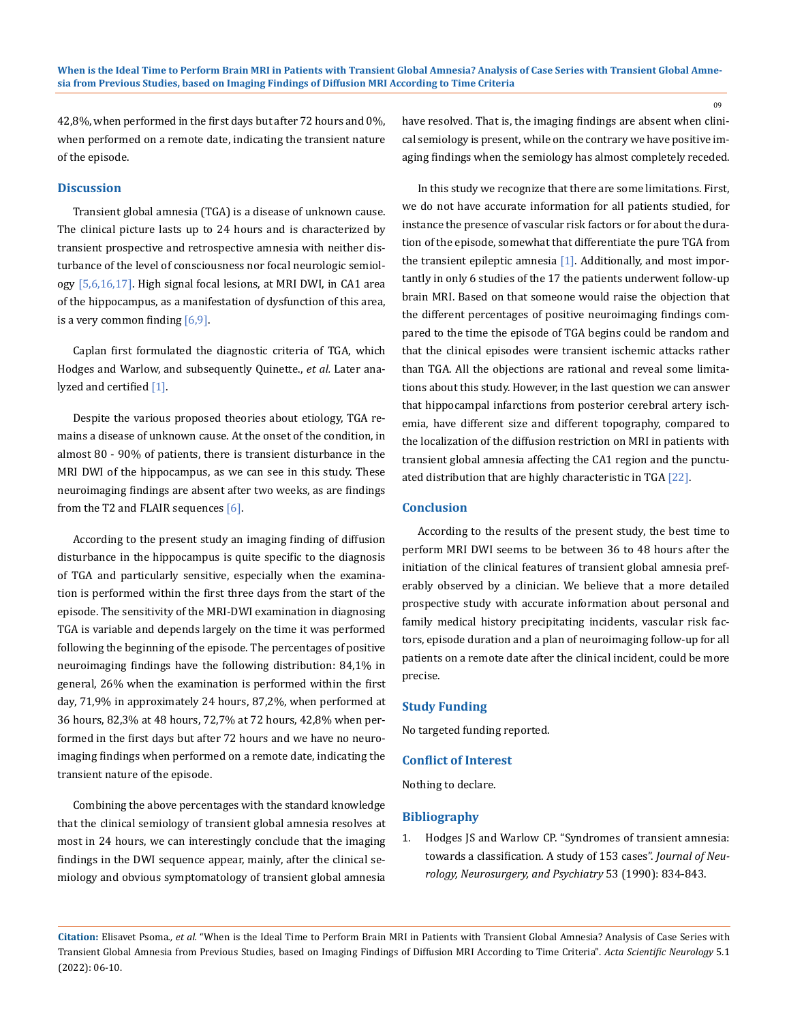42,8%, when performed in the first days but after 72 hours and 0%, when performed on a remote date, indicating the transient nature of the episode.

#### **Discussion**

Transient global amnesia (TGA) is a disease of unknown cause. The clinical picture lasts up to 24 hours and is characterized by transient prospective and retrospective amnesia with neither disturbance of the level of consciousness nor focal neurologic semiology [5,6,16,17]. High signal focal lesions, at MRI DWI, in CA1 area of the hippocampus, as a manifestation of dysfunction of this area, is a very common finding  $[6,9]$ .

Caplan first formulated the diagnostic criteria of TGA, which Hodges and Warlow, and subsequently Quinette., *et al.* Later analyzed and certified [1].

Despite the various proposed theories about etiology, TGA remains a disease of unknown cause. At the onset of the condition, in almost 80 - 90% of patients, there is transient disturbance in the MRI DWI of the hippocampus, as we can see in this study. These neuroimaging findings are absent after two weeks, as are findings from the T2 and FLAIR sequences  $[6]$ .

According to the present study an imaging finding of diffusion disturbance in the hippocampus is quite specific to the diagnosis of TGA and particularly sensitive, especially when the examination is performed within the first three days from the start of the episode. The sensitivity of the MRI-DWI examination in diagnosing TGA is variable and depends largely on the time it was performed following the beginning of the episode. The percentages of positive neuroimaging findings have the following distribution: 84,1% in general, 26% when the examination is performed within the first day, 71,9% in approximately 24 hours, 87,2%, when performed at 36 hours, 82,3% at 48 hours, 72,7% at 72 hours, 42,8% when performed in the first days but after 72 hours and we have no neuroimaging findings when performed on a remote date, indicating the transient nature of the episode.

Combining the above percentages with the standard knowledge that the clinical semiology of transient global amnesia resolves at most in 24 hours, we can interestingly conclude that the imaging findings in the DWI sequence appear, mainly, after the clinical semiology and obvious symptomatology of transient global amnesia have resolved. That is, the imaging findings are absent when clinical semiology is present, while on the contrary we have positive imaging findings when the semiology has almost completely receded.

In this study we recognize that there are some limitations. First, we do not have accurate information for all patients studied, for instance the presence of vascular risk factors or for about the duration of the episode, somewhat that differentiate the pure TGA from the transient epileptic amnesia  $[1]$ . Additionally, and most importantly in only 6 studies of the 17 the patients underwent follow-up brain MRI. Based on that someone would raise the objection that the different percentages of positive neuroimaging findings compared to the time the episode of TGA begins could be random and that the clinical episodes were transient ischemic attacks rather than TGA. All the objections are rational and reveal some limitations about this study. However, in the last question we can answer that hippocampal infarctions from posterior cerebral artery ischemia, have different size and different topography, compared to the localization of the diffusion restriction on MRI in patients with transient global amnesia affecting the CA1 region and the punctuated distribution that are highly characteristic in TGA [22].

#### **Conclusion**

According to the results of the present study, the best time to perform MRI DWI seems to be between 36 to 48 hours after the initiation of the clinical features of transient global amnesia preferably observed by a clinician. We believe that a more detailed prospective study with accurate information about personal and family medical history precipitating incidents, vascular risk factors, episode duration and a plan of neuroimaging follow-up for all patients on a remote date after the clinical incident, could be more precise.

### **Study Funding**

No targeted funding reported.

#### **Conflict of Interest**

Nothing to declare.

#### **Bibliography**

1. [Hodges JS and Warlow CP. "Syndromes of transient amnesia:](https://pubmed.ncbi.nlm.nih.gov/2266362/)  [towards a classification. A study of 153 cases".](https://pubmed.ncbi.nlm.nih.gov/2266362/) *Journal of Neu[rology, Neurosurgery, and Psychiatry](https://pubmed.ncbi.nlm.nih.gov/2266362/)* 53 (1990): 834-843.

09

**Citation:** Elisavet Psoma*., et al.* "When is the Ideal Time to Perform Brain MRI in Patients with Transient Global Amnesia? Analysis of Case Series with Transient Global Amnesia from Previous Studies, based on Imaging Findings of Diffusion MRI According to Time Criteria". *Acta Scientific Neurology* 5.1 (2022): 06-10.